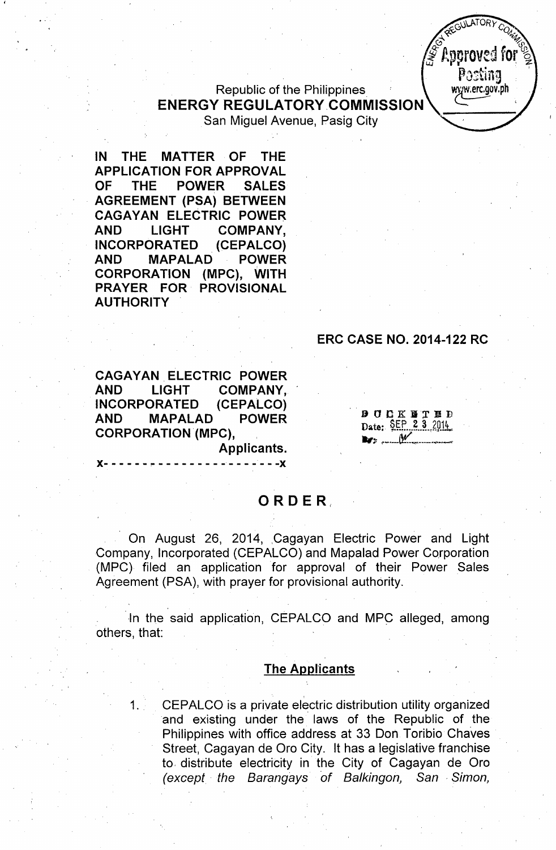

### Republic of the Philippines ENERGY REGULATORY ,COMMISSION San Miguel Avenue, Pasig City

IN THE MATTER OF THE APPLICATION FOR APPROVAL OF THE POWER SALES AGREEMENT (PSA) BETWEEN CAGAYAN ELECTRIC POWER AND LIGHT COMPANY, INCORPORATED ,(CEPALCO) AND MAPALAD POWER CORPORATION (MPC), WITH PRAYER FOR PROVISIONAL AUTHORITY

#### ERC CASE NO. 2014-122 RC

CAGAYAN ELECTRIC POWER AND LIGHT COMPANY, INCORPORATED (CEPALCO) AND MAPALAD POWER CORPORATION (MPC),

> Applicants. )(- - - - - - <sup>~</sup> - - - - - - - - -- - - - - - -)(

**DOCKNTED** Date: SEP 2 3 2014  $\mathbf{w}$ ,  $\mathbf{w}$ 

## ORDER,

On August 26, 2014, Cagayan Electric Power and Light Company, Incorporated (CEPALCO) and Mapalad Power Corporation (MPC) filed an application for approval of their Power Sales Agreement (PSA), with prayer for provisional authority.

In the said application, CEPALCO and MPC alleged, among others, that:

#### **The Applicants**

1. CEPALCO is a private electric distribution utility organized and existing under the laws of the Republic of the Philippines with office address at 33 Don Toribio Chaves Street, Cagayan de Oro City. It has a legislative franchise to, distribute electricity in the City of Cagayan de Oro *(except, the Barangays 'of Balkingon, San, Simon,*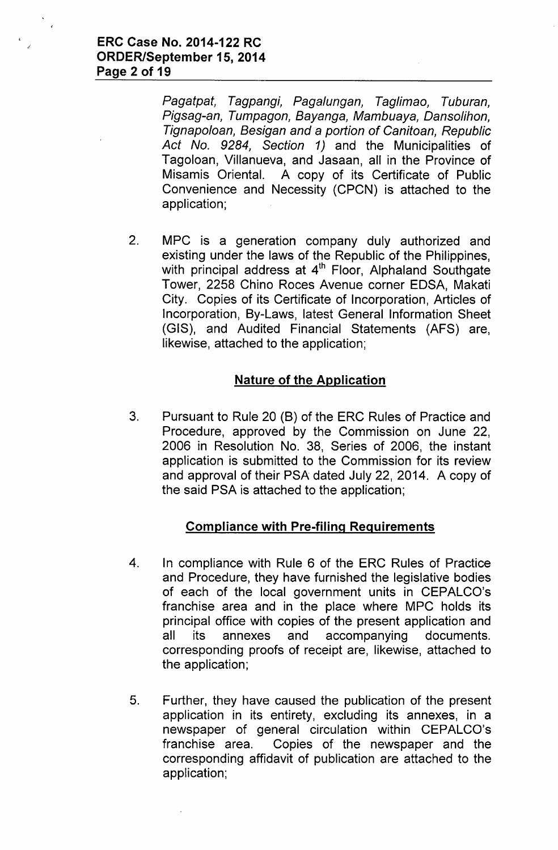*Pagatpat, Tagpangi, Pagalungan, Taglim* a0, *Tuburan, Pigsag-an, Tumpagon, Bayanga, Mambuaya, Dansolihon, Tignapoloan, Besigan and* a *portion of Canitoan, Republic Act No.* 9284, *Section* 1) and the Municipalities of Tagoloan, Villanueva, and Jasaan, all in the Province of Misamis Oriental. A copy of its Certificate of Public Convenience and Necessity (CPCN) is attached to the application;

2. MPC is a generation company duly authorized and existing under the laws of the Republic of the Philippines, with principal address at 4<sup>th</sup> Floor, Alphaland Southgate Tower, 2258 Chino Roces Avenue corner EDSA, Makati City. Copies of its Certificate of Incorporation, Articles of Incorporation, By-Laws, latest General Information Sheet (GIS), and Audited Financial Statements (AFS) are, likewise, attached to the application;

### **Nature of the Application**

3. Pursuant to Rule 20 (8) of the ERC Rules of Practice and Procedure, approved by the Commission on June 22, 2006 in Resolution No. 38, Series of 2006, the instant application is submitted to the Commission for its review and approval of their PSA dated July 22, 2014. A copy of the said PSA is attached to the application;

## **Compliance with Pre-filing Requirements**

- 4. In compliance with Rule 6 of the ERC Rules of Practice and Procedure, they have furnished the legislative bodies of each of the local government units in CEPALCO's franchise area and in the place where MPC holds its principal office with copies of the present application and all its annexes and accompanying documents. corresponding proofs of receipt are, likewise, attached to the application;
- 5. Further, they have caused the publication of the present application in its entirety, excluding its annexes, in a newspaper of general circulation within CEPALCO's franchise area. Copies of the newspaper and the corresponding affidavit of publication are attached to the application;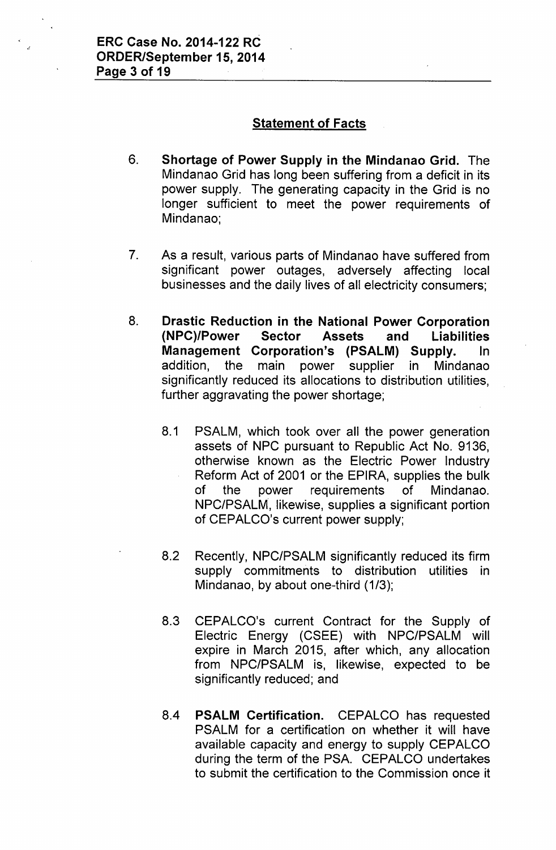### Statement of Facts

- 6. Shortage of Power Supply in the Mindanao Grid. The Mindanao Grid has long been suffering from a deficit in its power supply. The generating capacity in the Grid is no longer sufficient to meet the power requirements of Mindanao;
- 7. As a result, various parts of Mindanao have suffered from significant power outages, adversely affecting local businesses and the daily lives of all electricity consumers;
- 8. Drastic Reduction in the National Power Corporation (NPC)/Power Sector Assets and Liabilities Management Corporation's (PSALM) Supply. In addition, the main power supplier in Mindanao significantly reduced its allocations to distribution utilities, further aggravating the power shortage;
	- 8.1 PSALM, which took over all the power generation assets of NPC pursuant to Republic Act No. 9136, otherwise known as the Electric Power Industry Reform Act of 2001 or the EPIRA, supplies the bulk of the power requirements of Mindanao. NPC/PSALM, likewise, supplies a significant portion of CEPALCO's current power supply;
	- 8.2 Recently, NPC/PSALM significantly reduced its firm supply commitments to distribution utilities in Mindanao, by about one-third (1/3);
	- 8.3 CEPALCO's current Contract for the Supply of Electric Energy (CSEE) with NPC/PSALM will expire in March 2015, after which, any allocation from NPC/PSALM is, likewise, expected to be significantly reduced; and
	- 8.4 PSALM Certification. CEPALCO has requested PSALM for a certification on whether it will have available capacity and energy to supply CEPALCO during the term of the PSA. CEPALCO undertakes to submit the certification to the Commission once it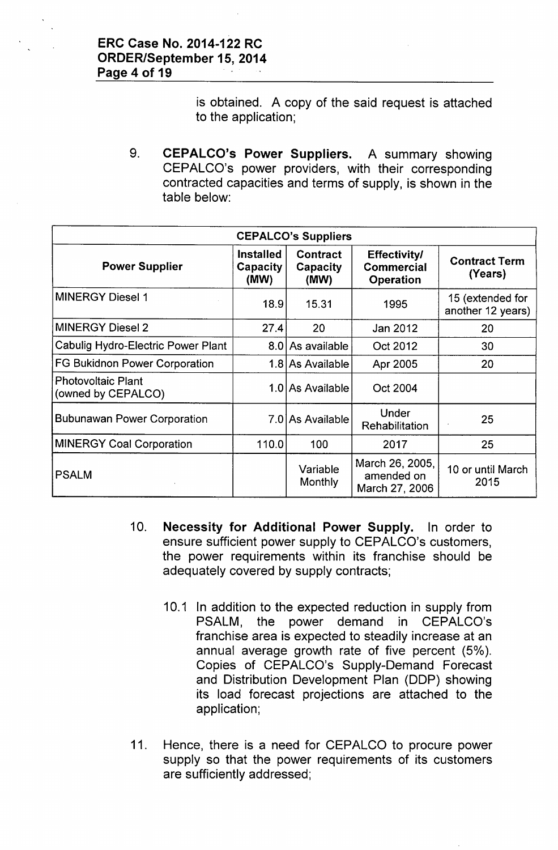is obtained. A copy of the said request is attached to the application;

9. CEPALCO's Power Suppliers. A summary showing CEPALCO's power providers, with their corresponding contracted capacities and terms of supply, is shown in the table below:

| <b>CEPALCO's Suppliers</b>                      |                                                                      |                            |                                                       |                                       |
|-------------------------------------------------|----------------------------------------------------------------------|----------------------------|-------------------------------------------------------|---------------------------------------|
| <b>Power Supplier</b>                           | <b>Installed</b><br>Contract<br>Capacity<br>Capacity<br>(MW)<br>(MW) |                            | <b>Effectivity/</b><br><b>Commercial</b><br>Operation | <b>Contract Term</b><br>(Years)       |
| <b>MINERGY Diesel 1</b>                         | 18.9                                                                 | 15.31                      | 1995                                                  | 15 (extended for<br>another 12 years) |
| <b>MINERGY Diesel 2</b>                         | 27.4                                                                 | 20                         | Jan 2012                                              | 20                                    |
| Cabulig Hydro-Electric Power Plant              | 8.0 <sub>1</sub>                                                     | As available               | Oct 2012                                              | 30                                    |
| FG Bukidnon Power Corporation                   |                                                                      | 1.8 As Available           | Apr 2005                                              | 20                                    |
| <b>Photovoltaic Plant</b><br>(owned by CEPALCO) |                                                                      | 1.0 As Available           | Oct 2004                                              |                                       |
| <b>Bubunawan Power Corporation</b>              |                                                                      | 7.0 As Available           | Under<br><b>Rehabilitation</b>                        | 25                                    |
| <b>MINERGY Coal Corporation</b>                 | 110.0                                                                | 100                        | 2017                                                  | 25                                    |
| <b>PSALM</b>                                    |                                                                      | Variable<br><b>Monthly</b> | March 26, 2005,<br>amended on<br>March 27, 2006       | 10 or until March<br>2015             |

- 10. Necessity for Additional Power Supply. In order to ensure sufficient power supply to CEPALCO's customers, the power requirements within its franchise should be adequately covered by supply contracts;
	- 10.1 In addition to the expected reduction in supply from PSALM, the power demand in CEPALCO's franchise area is expected to steadily increase at an annual average growth rate of five percent (5%). Copies of CEPALCO's Supply-Demand Forecast and Distribution Development Plan (DDP) showing its load forecast projections are attached to the application;
- 11. Hence, there is a need for CEPALCO to procure power supply so that the power requirements of its customers are sufficiently addressed;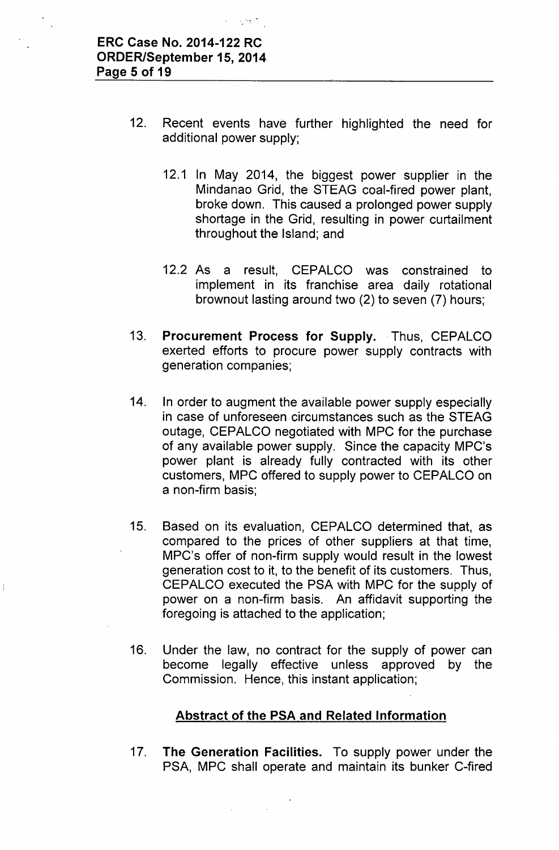e in Start

- 12. Recent events have further highlighted the need for additional power supply;
	- 12.1 In May 2014, the biggest power supplier in the Mindanao Grid, the STEAG coal-fired power plant, broke down. This caused a prolonged power supply shortage in the Grid, resulting in power curtailment throughout the Island; and
	- 12.2 As a result, CEPALCO was constrained to implement in its franchise area daily rotational brownout lasting around two (2) to seven (7) hours;
- 13. Procurement Process for Supply. Thus, CEPALCO exerted efforts to procure power supply contracts with generation companies;
- 14. In order to augment the available power supply especially in case of unforeseen circumstances such as the STEAG outage, CEPALCO negotiated with MPC for the purchase of any available power supply. Since the capacity MPC's power plant is already fully contracted with its other customers, MPC offered to supply power to CEPALCO on a non-firm basis;
- 15. Based on its evaluation, CEPALCO determined that, as compared to the prices of other suppliers at that time, MPC's offer of non-firm supply would result in the lowest generation cost to it, to the benefit of its customers. Thus, CEPALCO executed the PSA with MPC for the supply of power on a non-firm basis. An affidavit supporting the foregoing is attached to the application;
- 16. Under the law, no contract for the supply of power can become legally effective unless approved by the Commission. Hence, this instant application;

## Abstract of the PSA and Related Information

17. The Generation Facilities. To supply power under the PSA, MPC shall operate and maintain its bunker C-fired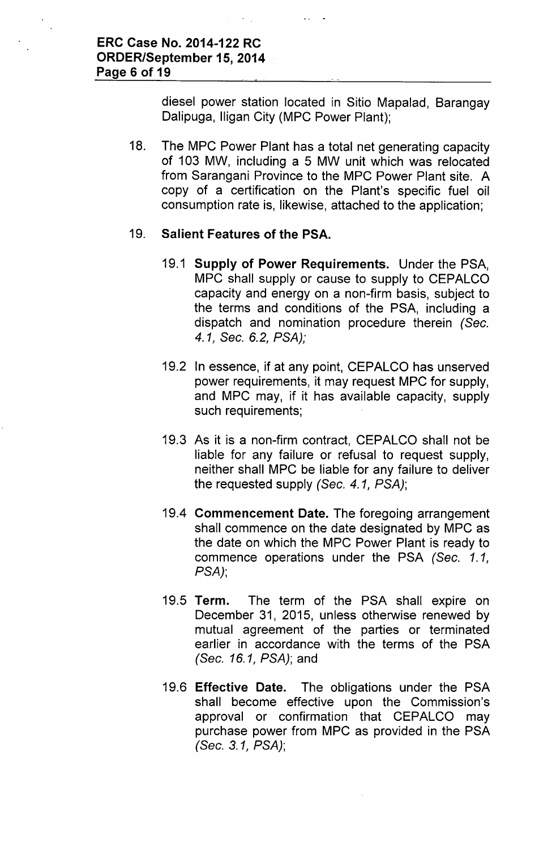diesel power station located in Sitio Mapalad, Barangay Dalipuga, Iligan City (MPC Power Plant);

18. The MPC Power Plant has a total net generating capacity of 103 MW, including a 5 MW unit which was relocated from Sarangani Province to the MPC Power Plant site. A copy of a certification on the Plant's specific fuel oil consumption rate is, likewise, attached to the application;

### 19. **Salient Features of the PSA.**

- 19.1 **Supply of Power Requirements.** Under the PSA, MPC shall supply or cause to supply to CEPALCO capacity and energy on a non-firm basis, subject to the terms and conditions of the PSA, including a dispatch and nomination procedure therein *(Sec. 4.1, Sec.* 6.2, *PSA);*
- 19.2 In essence, if at any point, GEPALCO has unserved power requirements, it may request MPC for supply, and MPC may, if it has available capacity, supply such requirements;
- 19.3 As it is a non-firm contract, CEPALCO shall not be liable for any failure or refusal to request supply, neither shall MPC be liable for any failure to deliver the requested supply *(Sec.* 4. 1, *PSA);*
- 19.4 **Commencement Date.** The foregoing arrangement shall commence on the date designated by MPC as the date on which the MPC Power Plant is ready to commence operations under the PSA *(Sec. 1.1, PSA);*
- 19.5 **Term.** The term of the PSA shall expire on December 31, 2015, unless otherwise renewed by mutual agreement of the parties or terminated earlier in accordance with the terms of the PSA *(Sec.* 16.1, *PSA);* and
- 19.6 **Effective Date.** The obligations under the PSA shall become effective upon the Commission's approval or confirmation that CEPALCO may purchase power from MPC as provided in the PSA *(Sec.* 3.1, *PSA);*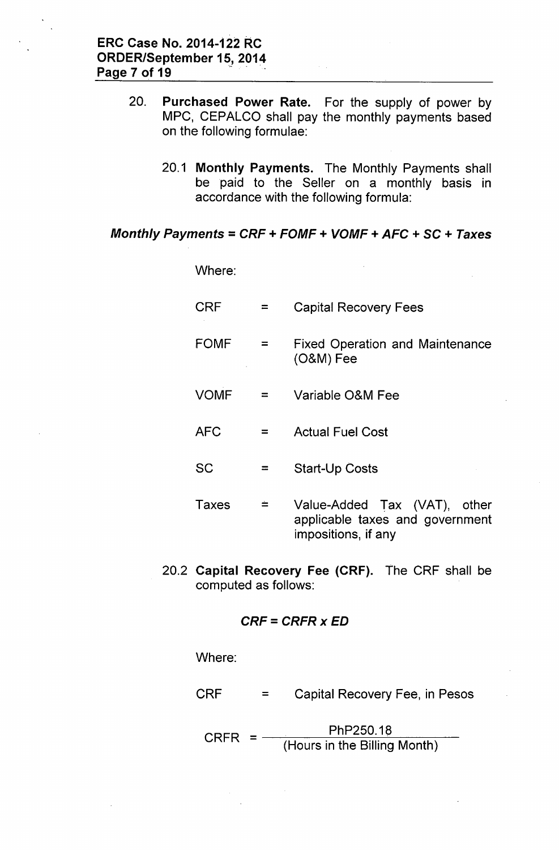- 20. Purchased Power Rate. For the supply of power by MPC, CEPALCO shall pay the monthly payments based on the following formulae:
	- 20.1 Monthly Payments. The Monthly Payments shall be paid to the Seller on a monthly basis in accordance with the following formula:

#### *Monthly Payments* = *CRF* + *FOMF* + *VOMF* + *AFC* + SC + *Taxes*

| Where:      |          |                                                                                        |
|-------------|----------|----------------------------------------------------------------------------------------|
| <b>CRF</b>  |          | <b>Capital Recovery Fees</b>                                                           |
| <b>FOMF</b> | $=$      | <b>Fixed Operation and Maintenance</b><br>$(O&M)$ Fee                                  |
| <b>VOMF</b> | $=$      | Variable O&M Fee                                                                       |
| <b>AFC</b>  | $=$      | <b>Actual Fuel Cost</b>                                                                |
| <b>SC</b>   | $\equiv$ | Start-Up Costs                                                                         |
| Taxes       | ≐.       | Value-Added Tax (VAT), other<br>applicable taxes and government<br>impositions, if any |

20.2 Capital Recovery Fee (CRF). The CRF shall be computed as follows:

#### *CRF* = *CRFR x ED*

Where:

- CRF = Capital Recovery Fee, in Pesos
- $CRFR$  =  $-$ PhP250.18 (Hours in the Billing Month)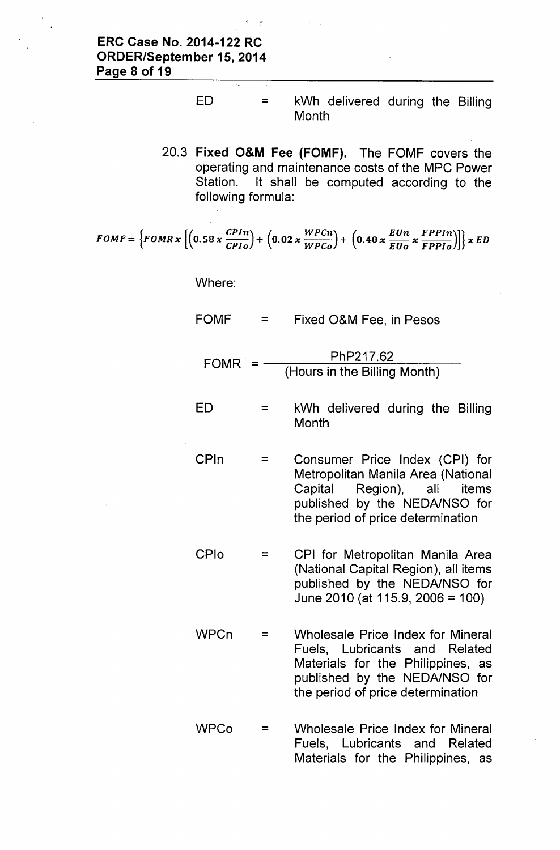- $ED =$  kWh delivered during the Billing **Month**
- 20.3 Fixed O&M Fee (FOMF). The FOMF covers the operating and maintenance costs of the MPC Power Station. It shall be computed according to the following formula:

$$
FOMF = \left\{FOMR \times \left[ \left(0.58 \times \frac{CPIn}{CPIo}\right) + \left(0.02 \times \frac{WPCn}{WPCo}\right) + \left(0.40 \times \frac{EUn}{EUo} \times \frac{FPPIn}{FPPIo}\right) \right] \right\} \times ED
$$

Where:

- FOMF  $=$ Fixed O&M Fee, in Pesos
	- $FOMR = -$ PhP217.62 (Hours in the Billing Month)
- ED = kWh delivered during the Billing **Month**
- CPln  $=$ Consumer Price Index (CPI) for Metropolitan Manila Area (National Capital Region), all items published by the NEDA/NSO for the period of price determination
- CPlo  $=$ CPI for Metropolitan Manila Area (National Capital Region), all items published by the NEDA/NSO for June 2010 (at 115.9, 2006 = 100)
- **WPCn** = Wholesale Price Index for Mineral Fuels, Lubricants and Related Materials for the Philippines, as published by the NEDA/NSO for the period of price determination
- WPCo = Wholesale Price Index for Mineral Fuels, Lubricants and Related Materials for the Philippines, as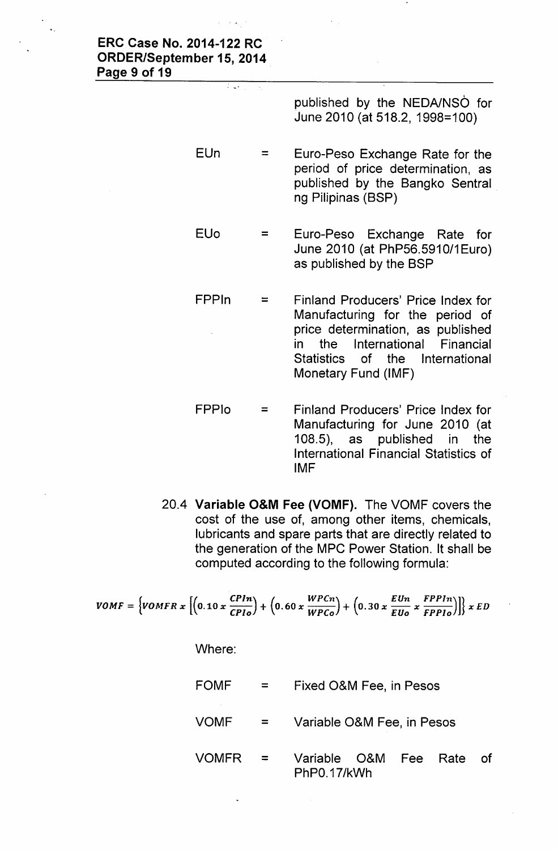#### ERC Case No. 2014-122 RC ORDER/September 15,2014 Page 9 of 19

 $\mathcal{L}(\mathcal{L}^{\text{max}})$ 

published by the  $NEDA/NSO$  for June 2010 (at 518.2, 1998=100)

- EUn = Euro-Peso Exchange Rate for the period of price determination, as published by the Sangko Sentral ng Pilipinas (SSP)
- EUo = Euro-Peso Exchange Rate for June 2010 (at PhP56.5910/1 Euro) as published by the SSP
- FPPln = Finland Producers' Price Index for Manufacturing for the period of price determination, as published in the International Financial Statistics of the International Monetary Fund (IMF)
- FPPlo = Finland Producers' Price Index for Manufacturing for June 2010 (at 108.5), as published in the International Financial Statistics of IMF
- 20.4 Variable O&M Fee (VOMF). The VOMF covers the cost of the use of, among other items, chemicals, lubricants and spare parts that are directly related to the generation of the MPC Power Station. It shall be computed according to the following formula:

$$
VOMF = \left\{ VOMFR \times \left[ \left( 0.10 \times \frac{CPIn}{CPIo} \right) + \left( 0.60 \times \frac{WPCn}{WPCo} \right) + \left( 0.30 \times \frac{EUn}{EUo} \times \frac{FPPin}{FPPIo} \right) \right] \right\} \times ED
$$

Where:

- FOMF = Fixed O&M Fee, in Pesos
- VOMF  $=$ Variable O&M Fee, in Pesos
- VOMFR = Variable O&M Fee Rate of PhPO.17/kWh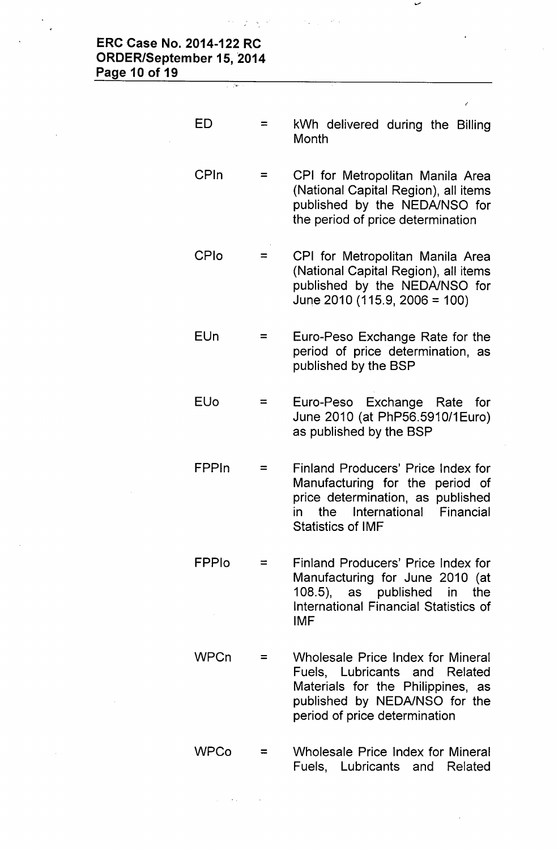$\mathcal{L}_{\mathcal{L}}$ 

 $\bar{\mathcal{L}}$ 

 $\hat{\mathcal{A}}$ 

 $\bar{L}$ 

 $\label{eq:2.1} \frac{d^2\mathbf{r}}{d\mathbf{r}} = \frac{1}{2\pi}\sum_{\mathbf{r}}\frac{d^2\mathbf{r}}{d\mathbf{r}}\, \mathbf{r}^2 \, \mathbf{r}^2 \, \mathbf{r}^2 \, \mathbf{r}^2 \, \mathbf{r}^2 \, \mathbf{r}^2 \, \mathbf{r}^2 \, \mathbf{r}^2 \, \mathbf{r}^2 \, \mathbf{r}^2 \, \mathbf{r}^2 \, \mathbf{r}^2 \, \mathbf{r}^2 \, \mathbf{r}^2 \, \mathbf{r}^2 \, \$ 

 $\mathcal{L}^{\text{max}}_{\text{max}}$  ,  $\mathcal{L}^{\text{max}}_{\text{max}}$  , and

 $\overline{a}$ 

|              |     | v                                                                                                                                                                                 |
|--------------|-----|-----------------------------------------------------------------------------------------------------------------------------------------------------------------------------------|
| ED           |     | kWh delivered during the Billing<br>Month                                                                                                                                         |
| CPIn         |     | CPI for Metropolitan Manila Area<br>(National Capital Region), all items<br>published by the NEDA/NSO for<br>the period of price determination                                    |
| CPIo         | ≕   | CPI for Metropolitan Manila Area<br>(National Capital Region), all items<br>published by the NEDA/NSO for<br>June 2010 (115.9, 2006 = 100)                                        |
| <b>EUn</b>   | $=$ | Euro-Peso Exchange Rate for the<br>period of price determination, as<br>published by the BSP                                                                                      |
| <b>EUo</b>   | ⋍   | Euro-Peso Exchange Rate for<br>June 2010 (at PhP56.5910/1Euro)<br>as published by the BSP                                                                                         |
| FPPIn        | ⋍   | Finland Producers' Price Index for<br>Manufacturing for the period of<br>price determination, as published<br>International<br>Financial<br>the<br>ın<br><b>Statistics of IMF</b> |
| <b>FPPIO</b> | ⋍   | Finland Producers' Price Index for<br>Manufacturing for June 2010 (at<br>108.5), as published in the<br><b>International Financial Statistics of</b><br><b>IMF</b>                |
| WPCn         | =   | Wholesale Price Index for Mineral<br>Fuels, Lubricants and Related<br>Materials for the Philippines, as<br>published by NEDA/NSO for the<br>period of price determination         |
| <b>WPCo</b>  | ≂   | Wholesale Price Index for Mineral<br>Fuels, Lubricants and Related                                                                                                                |

 $\sim$   $\sim$  $\bar{\mathcal{A}}$  $\hat{\mathcal{L}}$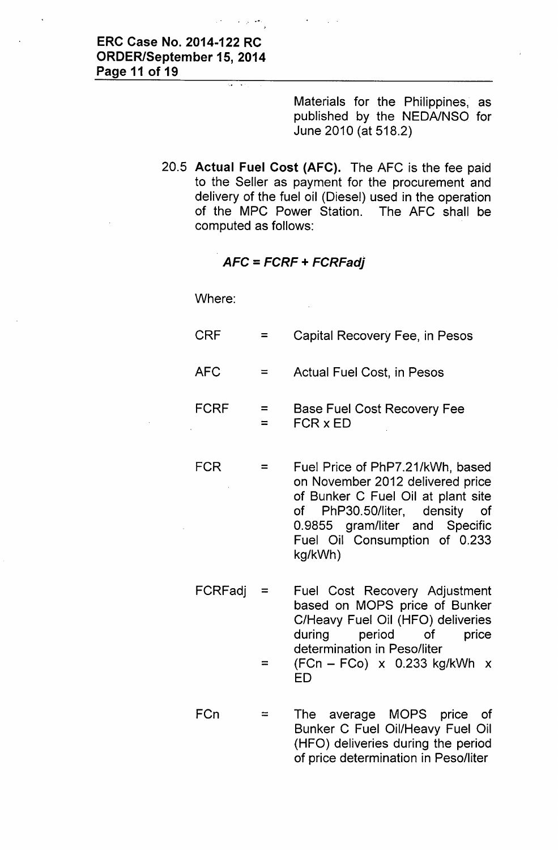. " •....

Materials for the Philippines, as published by the NEDA/NSO for June 2010 (at 518.2)

20.5 Actual Fuel Cost (AFC). The AFC is the fee paid to the Seller as payment for the procurement and delivery of the fuel oil (Diesel) used in the operation of the MPC Power Station. The AFC shall be computed as follows:

### *AFC* = *FCRF* + *FCRFadj*

Where:

| <b>CRF</b>  | Capital Recovery Fee, in Pesos                                                                                                                                                                                         |
|-------------|------------------------------------------------------------------------------------------------------------------------------------------------------------------------------------------------------------------------|
| <b>AFC</b>  | <b>Actual Fuel Cost, in Pesos</b>                                                                                                                                                                                      |
| <b>FCRF</b> | <b>Base Fuel Cost Recovery Fee</b><br>FCR x ED                                                                                                                                                                         |
| <b>FCR</b>  | Fuel Price of PhP7.21/kWh, based<br>on November 2012 delivered price<br>of Bunker C Fuel Oil at plant site<br>PhP30.50/liter, density<br>of<br>of l<br>0.9855 gram/liter and Specific<br>Fuel Oil Consumption of 0.233 |

FCRFadj =  $=$ Fuel Cost Recovery Adjustment based on MOPS price of Bunker C/Heavy Fuel Oil (HFO) deliveries during period of price determination in Peso/liter  $(FCn - FCo) \times 0.233$  kg/kWh  $x$ 

kg/kWh)

- ED
- $FCn = The average MOPS price of$ Bunker C Fuel Oil/Heavy Fuel Oil (HFO) deliveries during the period of price determination in Peso/liter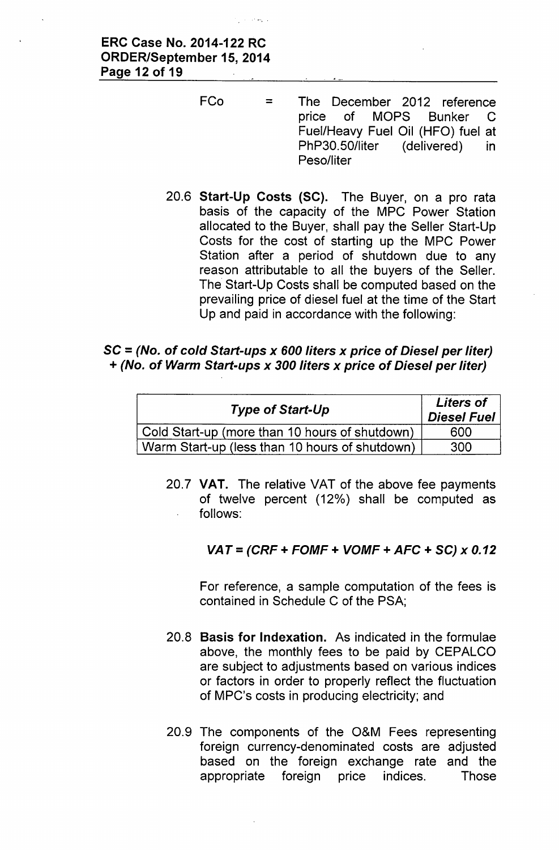### ERC Case No. 2014-122 RC ORDER/September 15,2014 Page 12 of 19

- FCo = The December 2012 reference price of MOPS Bunker C Fuel/Heavy Fuel Oil (HFO) fuel at PhP30.50/liter (delivered) in Peso/liter
- 20.6 Start-Up Costs (SC). The Buyer, on a pro rata basis of the capacity of the MPC Power Station allocated to the Buyer, shall pay the Seller Start-Up Costs for the cost of starting up the MPC Power Station after a period of shutdown due to any reason attributable to all the buyers of the Seller. The Start-Up Costs shall be computed based on the prevailing price of diesel fuel at the time of the Start Up and paid in accordance with the following:

### SC = *(No.* of *cold Start-ups x 600 liters x price* of *Diesel per liter) + (No.* of *Warm Start-ups x 300 liters x price* of *Diesel per liter)*

| <b>Type of Start-Up</b>                        | <b>Liters of</b><br><b>Diesel Fuel</b> |  |
|------------------------------------------------|----------------------------------------|--|
| Cold Start-up (more than 10 hours of shutdown) | 600                                    |  |
| Warm Start-up (less than 10 hours of shutdown) | .300                                   |  |

20.7 VAT. The relative VAT of the above fee payments of twelve percent (12%) shall be computed as follows:

## *VAT* = *(CRF* + *FOMF* + *VOMF* + *AFC* + *SC) x 0.12*

For reference, a sample computation of the fees is contained in Schedule C of the PSA;

- 20.8 Basis for Indexation. As indicated in the formulae above, the monthly fees to be paid by CEPALCO are subject to adjustments based on various indices or factors in order to properly reflect the fluctuation of MPC's costs in producing electricity; and
- 20.9 The components of the O&M Fees representing foreign currency-denominated costs are adjusted based on the foreign exchange rate and the appropriate foreign price indices. Those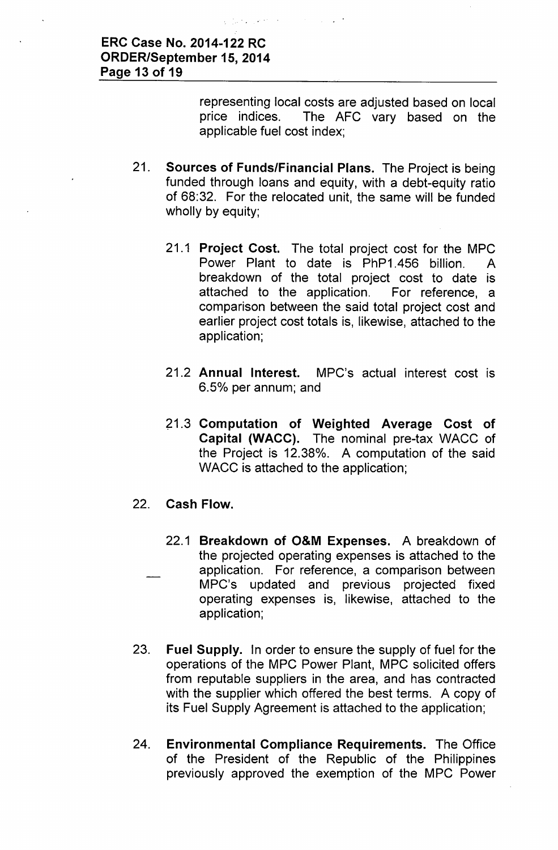representing local costs are adjusted based on local price indices. The AFC vary based on the applicable fuel cost index;

- 21. **Sources of Funds/Financial Plans.** The Project is being funded through loans and equity, with a debt-equity ratio of 68:32. For the relocated unit, the same will be funded wholly by equity;
	- 21.1 **Project Cost.** The total project cost for the MPC Power Plant to date is PhP1.456 billion. breakdown of the total project cost to date is attached to the application. For reference, a comparison between the said total project cost and earlier project cost totals is, likewise, attached to the application;
	- 21.2 **Annual Interest.** MPC's actual interest cost is 6.5% per annum; and
	- 21.3 **Computation of Weighted Average Cost of Capital (WACC).** The nominal pre-tax WACC of the Project is 12.38%. A computation of the said WACC is attached to the application;
- 22. **Cash Flow.**
	- 22.1 **Breakdown of O&M Expenses. A** breakdown of the projected operating expenses is attached to the application. For reference, a comparison between MPC's updated and previous projected fixed operating expenses is, likewise, attached to the application;
- 23. **Fuel Supply.** In order to ensure the supply of fuel for the operations of the MPC Power Plant, MPC solicited offers from reputable suppliers in the area, and has contracted with the supplier which offered the best terms. A copy of its Fuel Supply Agreement is attached to the application;
- 24. **Environmental Compliance Requirements.** The Office of the President of the Republic of the Philippines previously approved the exemption of the MPC Power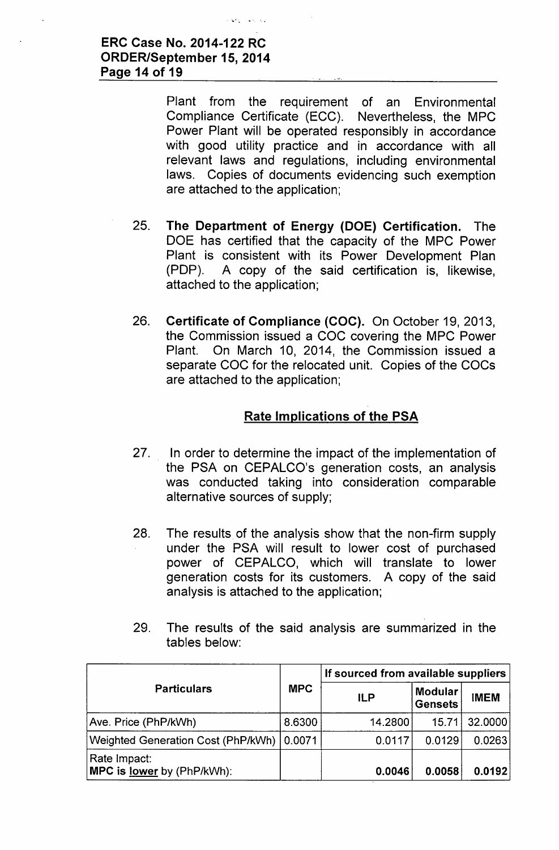... - .

Plant from the requirement of an Environmental Compliance Certificate (ECC). Nevertheless, the MPC Power Plant will be operated responsibly in accordance with good utility practice and in accordance with all relevant laws and regulations, including environmental laws. Copies of documents evidencing such exemption are attached to the application;

- 25. The Department of Energy (DOE) Certification. The DOE has certified that the capacity of the MPC Power Plant is consistent with its Power Development Plan (PDP). A copy of the said certification is, likewise, attached to the application;
- 26. Certificate of Compliance (COC). On October 19, 2013, the Commission issued a COC covering the MPC Power Plant. On March 10, 2014, the Commission issued a separate COC for the relocated unit. Copies of the COCs are attached to the application;

# Rate Implications of the PSA

- 27. In order to determine the impact of the implementation of the PSA on CEPALCO's generation costs, an analysis was conducted taking into consideration comparable alternative sources of supply;
- 28. The results of the analysis show that the non-firm supply under the PSA will result to lower cost of purchased power of CEPALCO, which will translate to lower generation costs for its customers. A copy of the said analysis is attached to the application;

|  |               |  |  | 29. The results of the said analysis are summarized in the |  |
|--|---------------|--|--|------------------------------------------------------------|--|
|  | tables below: |  |  |                                                            |  |

|                                                   |            | If sourced from available suppliers |                                  |             |  |
|---------------------------------------------------|------------|-------------------------------------|----------------------------------|-------------|--|
| <b>Particulars</b>                                | <b>MPC</b> | <b>ILP</b>                          | <b>Modular</b><br><b>Gensets</b> | <b>IMEM</b> |  |
| Ave. Price (PhP/kWh)                              | 8.6300     | 14.2800                             | 15.71                            | 32.0000     |  |
| Weighted Generation Cost (PhP/kWh)                | 0.0071     | 0.0117                              | 0.0129                           | 0.0263      |  |
| Rate Impact:<br><b>MPC is lower by (PhP/kWh):</b> |            | 0.0046                              | 0.0058                           | 0.0192      |  |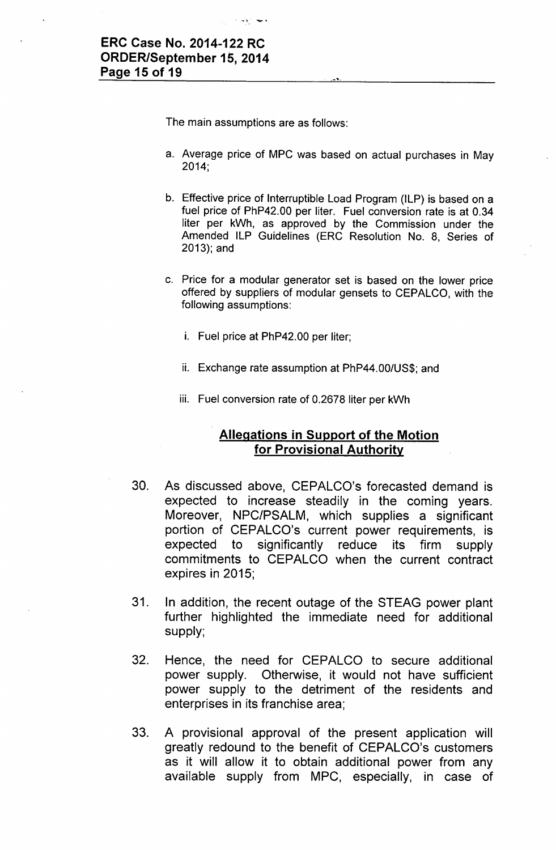The main assumptions are as follows:

منعما إجبار

- a. Average price of MPC was based on actual purchases in May 2014;
- b. Effective price of Interruptible Load Program (ILP) is based on a fuel price of PhP42.00 per liter. Fuel conversion rate is at 0.34 liter per kWh, as approved by the Commission under the Amended ILP Guidelines (ERC Resolution No. 8, Series of 2013); and
- c. Price for a modular generator set is based on the lower price offered by suppliers of modular gensets to CEPALCO, with the following assumptions:
	- i. Fuel price at PhP42.00 per liter;
	- ii. Exchange rate assumption at PhP44.00/US\$; and
	- iii. Fuel conversion rate of 0.2678 liter per kWh

### **Allegations in Support of the Motion for Provisional Authority**

- 30. As discussed above, CEPALCO's forecasted demand is expected to increase steadily in the coming years. Moreover, NPC/PSALM, which supplies a significant portion of CEPALCO's current power requirements, is expected to significantly reduce its firm supply commitments to CEPALCO when the current contract expires in 2015;
- 31. In addition, the recent outage of the STEAG power plant further highlighted the immediate need for additional supply;
- 32. Hence, the need for CEPALCO to secure additional power supply. Otherwise, it would not have sufficient power supply to the detriment of the residents and enterprises in its franchise area;
- 33. A provisional approval of the present application will greatly redound to the benefit of CEPALCO's customers as it will allow it to obtain additional power from any available supply from MPC, especially, in case of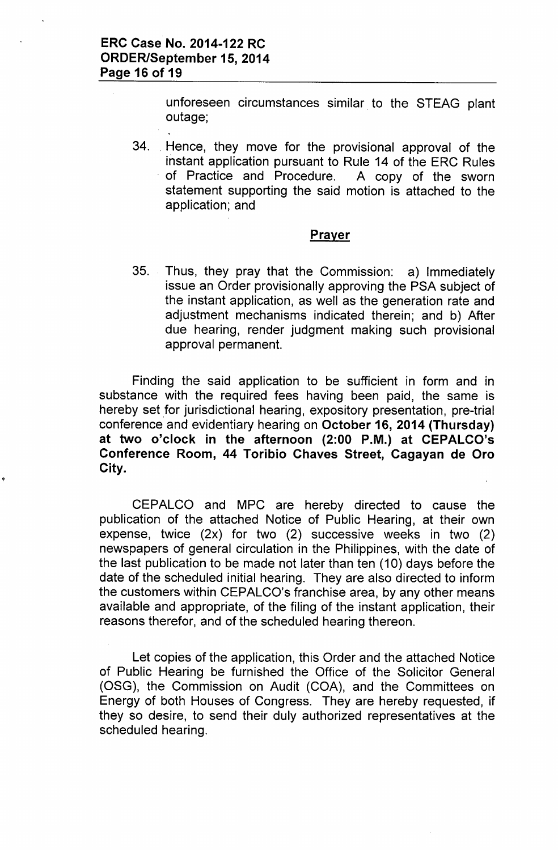unforeseen circumstances similar. to the STEAG plant outage;

34. . Hence, they move for the provisional approval of the instant application pursuant to Rule 14 of the ERC Rules of Practice and Procedure. A copy of the sworn statement supporting the said motion is attached to the application; and

### **Prayer**

35 .. Thus, they pray that the Commission: a) Immediately issue an Order provisionally approving the PSA subject of the instant application, as well as the generation rate and adjustment mechanisms indicated therein; and b) After due hearing, render judgment making such provisional approval permanent.

Finding the said application to be sufficient in form and in substance with the required fees having been paid, the same is hereby set for jurisdictional hearing, expository presentation, pre-trial conference and evidentiary hearing on **October 16,2014 (Thursday) at two o'clock in the afternoon (2:00 P.M.) at CEPALCO's Conference Room, 44 Toribio Chaves Street, Cagayan de Oro City.**

CEPALCO and MPC are hereby directed to cause the publication of the attached Notice of Public Hearing, at their own expense, twice (2x) for two (2) successive weeks in two (2) newspapers of general circulation in the Philippines, with the date of the last publication to be made not later than ten (10) days before the date of the scheduled initial hearing. They are also directed to inform the customers within CEPALCO's franchise area, by any other means available and appropriate, of the filing of the instant application, their reasons therefor, and of the scheduled hearing thereon.

Let copies of the application, this Order and the attached Notice of Public Hearing be furnished the Office of the Solicitor General (OSG), the Commission on Audit (COA), and the Committees on Energy of both Houses of Congress. They are hereby requested, if they so desire, to send their duly authorized representatives at the scheduled hearing.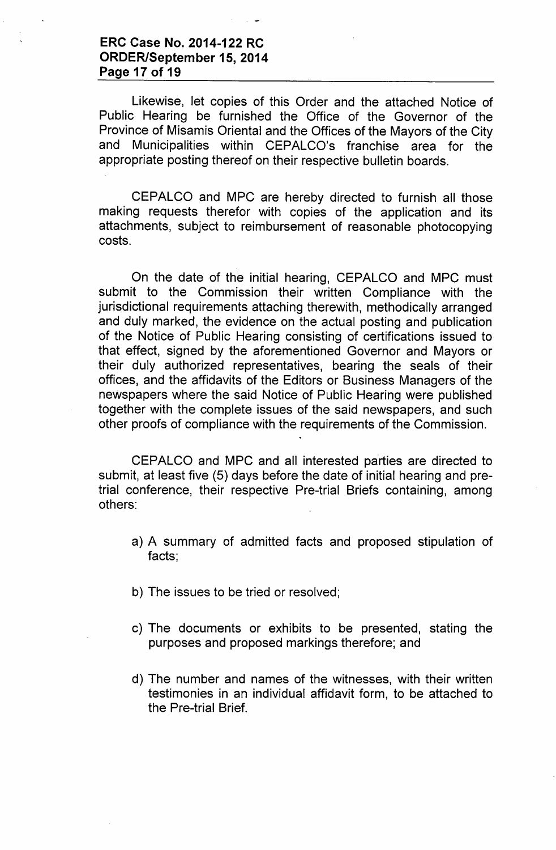### **ERC Case No. 2014-122 RC ORDER/September 15,2014 Page 17 of 19**

Likewise, let copies of this Order and the attached Notice of Public Hearing be furnished the Office of the Governor of the Province of Misamis Oriental and the Offices of the Mayors of the City and Municipalities within CEPALCO's franchise area for the appropriate posting thereof on their respective bulletin boards.

CEPALCO and MPC are hereby directed to furnish all those making requests therefor with copies of the application and its attachments, subject to reimbursement of reasonable photocopying costs.

On the date of the initial hearing, CEPALCO and MPC must submit to the Commission their written Compliance with the jurisdictional requirements attaching therewith, methodically arranged and duly marked, the evidence on the actual posting and publication of the Notice of Public Hearing consisting of certifications issued to that effect, signed by the aforementioned Governor and Mayors or their duly authorized representatives, bearing the seals of their offices, and the affidavits of the Editors or Business Managers of the newspapers where the said Notice of Public Hearing were published together with the complete issues of the said newspapers, and such other proofs of compliance with the requirements of the Commission.

CEPALCO and MPC and all interested parties are directed to submit, at least five (5) days before the date of initial hearing and pretrial conference, their respective Pre-trial Briefs containing, among others:

- a) A summary of admitted facts and proposed stipulation of facts;
- b) The issues to be tried or resolved;
- c) The documents or exhibits to be presented, stating the purposes and proposed markings therefore; and
- d) The number and names of the witnesses, with their written testimonies in an individual affidavit form, to be attached to the Pre-trial Brief.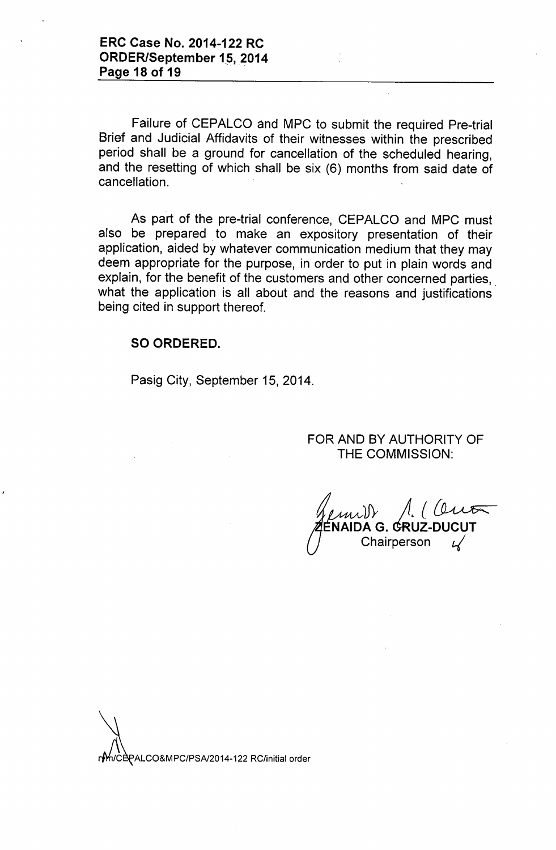Failure of CEPALCO and MPC to submit the required Pre-trial Brief and Judicial Affidavits of their witnesses within the prescribed period shall be a ground for cancellation of the scheduled hearing, and the resetting of which shall be six (6) months from said date of cancellation.

As part of the pre-trial conference, CEPALCO and MPC must also be prepared. to make an expository presentation of their application, aided by whatever communication medium that they may deem appropriate for the purpose, in order to put in plain words and explain, for the benefit of the customers and other concerned parties, what the application is all about and the reasons and justifications being cited in support thereof.

#### SO ORDERED.

Pasig City, September 15,2014.

FOR AND BY AUTHORITY OF THE COMMISSION:

fermit /1. ENAIDA G. GRUZ-DUCU<sup>-</sup> Chairperson *r-(*

CBPALCO&MPC/PSA/2014-122 RC/initial order